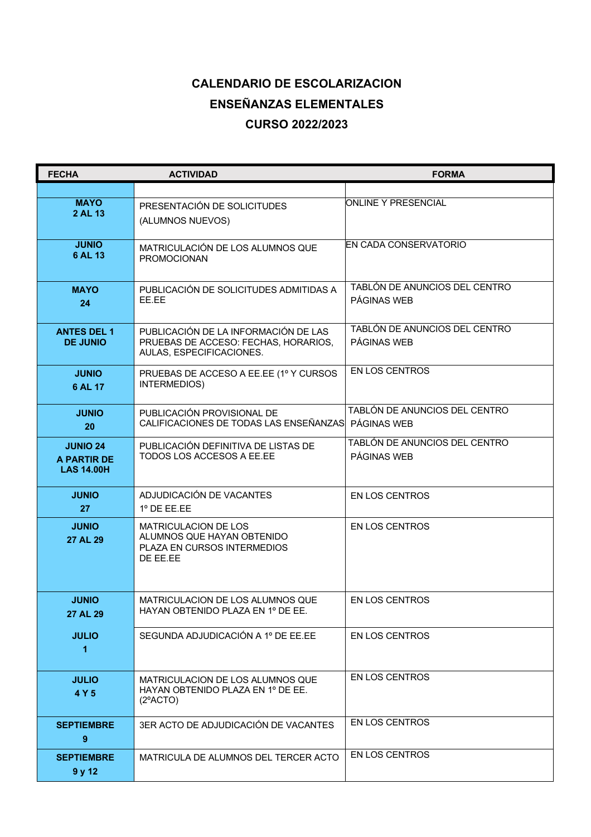## **CALENDARIO DE ESCOLARIZACION ENSEÑANZAS ELEMENTALES CURSO 2022/2023**

| <b>FECHA</b>                                        | <b>ACTIVIDAD</b>                                                                                         | <b>FORMA</b>                                 |
|-----------------------------------------------------|----------------------------------------------------------------------------------------------------------|----------------------------------------------|
|                                                     |                                                                                                          |                                              |
| <b>MAYO</b><br>2 AL 13                              | PRESENTACIÓN DE SOLICITUDES<br>(ALUMNOS NUEVOS)                                                          | ONLINE Y PRESENCIAL                          |
| <b>JUNIO</b><br>6 AL 13                             | MATRICULACIÓN DE LOS ALUMNOS QUE<br><b>PROMOCIONAN</b>                                                   | EN CADA CONSERVATORIO                        |
| <b>MAYO</b><br>24                                   | PUBLICACIÓN DE SOLICITUDES ADMITIDAS A<br>EE.EE                                                          | TABLÓN DE ANUNCIOS DEL CENTRO<br>PÁGINAS WEB |
| <b>ANTES DEL 1</b><br><b>DE JUNIO</b>               | PUBLICACIÓN DE LA INFORMACIÓN DE LAS<br>PRUEBAS DE ACCESO: FECHAS, HORARIOS,<br>AULAS, ESPECIFICACIONES. | TABLÓN DE ANUNCIOS DEL CENTRO<br>PÁGINAS WEB |
| <b>JUNIO</b><br>6 AL 17                             | PRUEBAS DE ACCESO A EE.EE (1º Y CURSOS<br>INTERMEDIOS)                                                   | <b>EN LOS CENTROS</b>                        |
| <b>JUNIO</b><br>20                                  | PUBLICACIÓN PROVISIONAL DE<br>CALIFICACIONES DE TODAS LAS ENSEÑANZAS PÁGINAS WEB                         | TABLÓN DE ANUNCIOS DEL CENTRO                |
| <b>JUNIO 24</b><br>A PARTIR DE<br><b>LAS 14.00H</b> | PUBLICACIÓN DEFINITIVA DE LISTAS DE<br>TODOS LOS ACCESOS A EE.EE                                         | TABLÓN DE ANUNCIOS DEL CENTRO<br>PÁGINAS WEB |
| <b>JUNIO</b><br>27                                  | ADJUDICACIÓN DE VACANTES<br>$1^{\circ}$ DE EE.EE                                                         | <b>EN LOS CENTROS</b>                        |
| <b>JUNIO</b><br>27 AL 29                            | <b>MATRICULACION DE LOS</b><br>ALUMNOS QUE HAYAN OBTENIDO<br>PLAZA EN CURSOS INTERMEDIOS<br>DE EE.EE     | <b>EN LOS CENTROS</b>                        |
| <b>JUNIO</b><br>27 AL 29                            | MATRICULACION DE LOS ALUMNOS QUE<br>HAYAN OBTENIDO PLAZA EN 1º DE EE.                                    | <b>EN LOS CENTROS</b>                        |
| <b>JULIO</b><br>1                                   | SEGUNDA ADJUDICACIÓN A 1º DE EE.EE                                                                       | EN LOS CENTROS                               |
| <b>JULIO</b><br>4 Y 5                               | MATRICULACION DE LOS ALUMNOS QUE<br>HAYAN OBTENIDO PLAZA EN 1º DE EE.<br>$(2^{\circ}$ ACTO)              | <b>EN LOS CENTROS</b>                        |
| <b>SEPTIEMBRE</b><br>$\boldsymbol{9}$               | 3ER ACTO DE ADJUDICACIÓN DE VACANTES                                                                     | <b>EN LOS CENTROS</b>                        |
| <b>SEPTIEMBRE</b><br>9 y 12                         | MATRICULA DE ALUMNOS DEL TERCER ACTO                                                                     | <b>EN LOS CENTROS</b>                        |